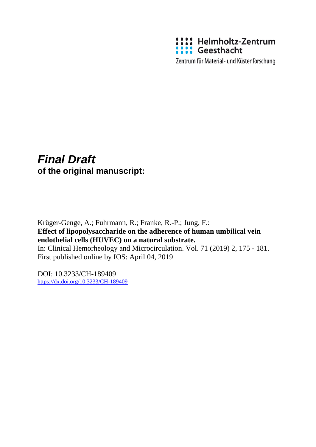

Zentrum für Material- und Küstenforschung

# *Final Draft*  **of the original manuscript:**

Krüger-Genge, A.; Fuhrmann, R.; Franke, R.-P.; Jung, F.: **Effect of lipopolysaccharide on the adherence of human umbilical vein endothelial cells (HUVEC) on a natural substrate.** In: Clinical Hemorheology and Microcirculation. Vol. 71 (2019) 2, 175 - 181. First published online by IOS: April 04, 2019

DOI: 10.3233/CH-189409 <https://dx.doi.org/10.3233/CH-189409>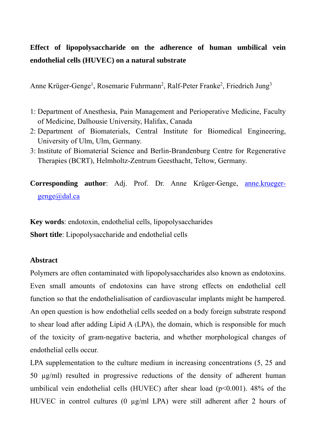# **Effect of lipopolysaccharide on the adherence of human umbilical vein endothelial cells (HUVEC) on a natural substrate**

Anne Krüger-Genge<sup>1</sup>, Rosemarie Fuhrmann<sup>2</sup>, Ralf-Peter Franke<sup>2</sup>, Friedrich Jung<sup>3</sup>

- 1: Department of Anesthesia, Pain Management and Perioperative Medicine, Faculty of Medicine, Dalhousie University, Halifax, Canada
- 2: Department of Biomaterials, Central Institute for Biomedical Engineering, University of Ulm, Ulm, Germany.
- 3: Institute of Biomaterial Science and Berlin-Brandenburg Centre for Regenerative Therapies (BCRT), Helmholtz-Zentrum Geesthacht, Teltow, Germany.

**Corresponding author**: Adj. Prof. Dr. Anne Krüger-Genge, anne.kruegergenge@dal.ca

**Key words**: endotoxin, endothelial cells, lipopolysaccharides

**Short title**: Lipopolysaccharide and endothelial cells

#### **Abstract**

Polymers are often contaminated with lipopolysaccharides also known as endotoxins. Even small amounts of endotoxins can have strong effects on endothelial cell function so that the endothelialisation of cardiovascular implants might be hampered. An open question is how endothelial cells seeded on a body foreign substrate respond to shear load after adding Lipid A (LPA), the domain, which is responsible for much of the toxicity of gram-negative bacteria, and whether morphological changes of endothelial cells occur.

LPA supplementation to the culture medium in increasing concentrations  $(5, 25, 25)$ 50 µg/ml) resulted in progressive reductions of the density of adherent human umbilical vein endothelial cells (HUVEC) after shear load  $(p<0.001)$ . 48% of the HUVEC in control cultures (0 µg/ml LPA) were still adherent after 2 hours of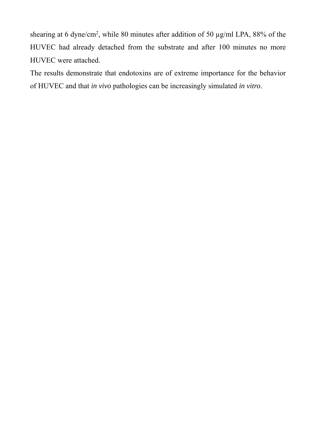shearing at 6 dyne/cm<sup>2</sup>, while 80 minutes after addition of 50  $\mu$ g/ml LPA, 88% of the HUVEC had already detached from the substrate and after 100 minutes no more HUVEC were attached.

The results demonstrate that endotoxins are of extreme importance for the behavior of HUVEC and that *in vivo* pathologies can be increasingly simulated *in vitro*.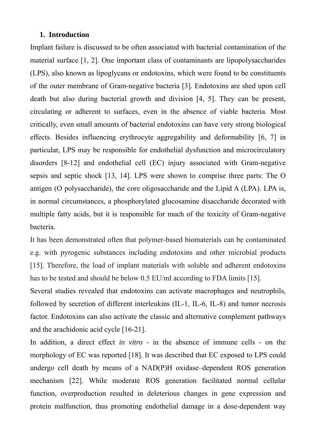#### **1. Introduction**

Implant failure is discussed to be often associated with bacterial contamination of the material surface [1, 2]. One important class of contaminants are lipopolysaccharides (LPS), also known as lipoglycans or endotoxins, which were found to be constituents of the outer membrane of Gram-negative bacteria [3]. Endotoxins are shed upon cell death but also during bacterial growth and division [4, 5]. They can be present, circulating or adherent to surfaces, even in the absence of viable bacteria. Most critically, even small amounts of bacterial endotoxins can have very strong biological effects. Besides influencing erythrocyte aggregability and deformability [6, 7] in particular, LPS may be responsible for endothelial dysfunction and microcirculatory disorders [8-12] and endothelial cell (EC) injury associated with Gram-negative sepsis and septic shock [13, 14]. LPS were shown to comprise three parts: The O antigen (O polysaccharide), the core oligosaccharide and the Lipid A (LPA). LPA is, in normal circumstances, a phosphorylated glucosamine disaccharide decorated with multiple fatty acids, but it is responsible for much of the toxicity of Gram-negative bacteria.

It has been demonstrated often that polymer-based biomaterials can be contaminated e.g. with pyrogenic substances including endotoxins and other microbial products [15]. Therefore, the load of implant materials with soluble and adherent endotoxins has to be tested and should be below 0.5 EU/ml according to FDA limits [15].

Several studies revealed that endotoxins can activate macrophages and neutrophils, followed by secretion of different interleukins (IL-1, IL-6, IL-8) and tumor necrosis factor. Endotoxins can also activate the classic and alternative complement pathways and the arachidonic acid cycle [16-21].

In addition, a direct effect *in vitro* - in the absence of immune cells - on the morphology of EC was reported [18]. It was described that EC exposed to LPS could undergo cell death by means of a NAD(P)H oxidase–dependent ROS generation mechanism [22]. While moderate ROS generation facilitated normal cellular function, overproduction resulted in deleterious changes in gene expression and protein malfunction, thus promoting endothelial damage in a dose-dependent way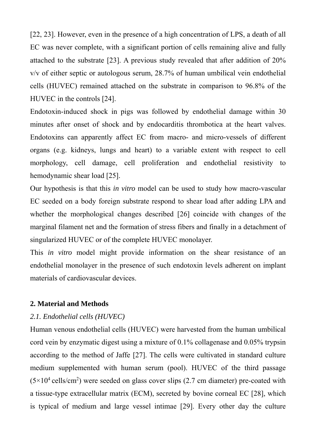[22, 23]. However, even in the presence of a high concentration of LPS, a death of all EC was never complete, with a significant portion of cells remaining alive and fully attached to the substrate [23]. A previous study revealed that after addition of 20% v/v of either septic or autologous serum, 28.7% of human umbilical vein endothelial cells (HUVEC) remained attached on the substrate in comparison to 96.8% of the HUVEC in the controls [24].

Endotoxin-induced shock in pigs was followed by endothelial damage within 30 minutes after onset of shock and by endocarditis thrombotica at the heart valves. Endotoxins can apparently affect EC from macro- and micro-vessels of different organs (e.g. kidneys, lungs and heart) to a variable extent with respect to cell morphology, cell damage, cell proliferation and endothelial resistivity to hemodynamic shear load [25].

Our hypothesis is that this *in vitro* model can be used to study how macro-vascular EC seeded on a body foreign substrate respond to shear load after adding LPA and whether the morphological changes described [26] coincide with changes of the marginal filament net and the formation of stress fibers and finally in a detachment of singularized HUVEC or of the complete HUVEC monolayer.

This *in vitro* model might provide information on the shear resistance of an endothelial monolayer in the presence of such endotoxin levels adherent on implant materials of cardiovascular devices.

#### **2. Material and Methods**

#### *2.1. Endothelial cells (HUVEC)*

Human venous endothelial cells (HUVEC) were harvested from the human umbilical cord vein by enzymatic digest using a mixture of 0.1% collagenase and 0.05% trypsin according to the method of Jaffe [27]. The cells were cultivated in standard culture medium supplemented with human serum (pool). HUVEC of the third passage  $(5 \times 10^4 \text{ cells/cm}^2)$  were seeded on glass cover slips (2.7 cm diameter) pre-coated with a tissue-type extracellular matrix (ECM), secreted by bovine corneal EC [28], which is typical of medium and large vessel intimae [29]. Every other day the culture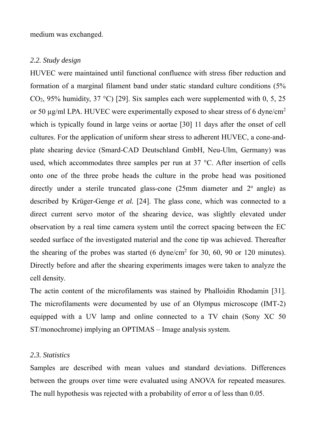medium was exchanged.

#### *2.2. Study design*

HUVEC were maintained until functional confluence with stress fiber reduction and formation of a marginal filament band under static standard culture conditions (5% CO<sub>2</sub>, 95% humidity, 37 °C) [29]. Six samples each were supplemented with 0, 5, 25 or 50 µg/ml LPA. HUVEC were experimentally exposed to shear stress of 6 dyne/cm2 which is typically found in large veins or aortae [30] 11 days after the onset of cell cultures. For the application of uniform shear stress to adherent HUVEC, a cone-andplate shearing device (Smard-CAD Deutschland GmbH, Neu-Ulm, Germany) was used, which accommodates three samples per run at 37 °C. After insertion of cells onto one of the three probe heads the culture in the probe head was positioned directly under a sterile truncated glass-cone  $(25 \text{mm})$  diameter and  $2^{\circ}$  angle) as described by Krüger-Genge *et al.* [24]. The glass cone, which was connected to a direct current servo motor of the shearing device, was slightly elevated under observation by a real time camera system until the correct spacing between the EC seeded surface of the investigated material and the cone tip was achieved. Thereafter the shearing of the probes was started  $(6 \text{ dyne/cm}^2 \text{ for } 30, 60, 90 \text{ or } 120 \text{ minutes}).$ Directly before and after the shearing experiments images were taken to analyze the cell density.

The actin content of the microfilaments was stained by Phalloidin Rhodamin [31]. The microfilaments were documented by use of an Olympus microscope (IMT-2) equipped with a UV lamp and online connected to a TV chain (Sony XC 50 ST/monochrome) implying an OPTIMAS – Image analysis system.

#### *2.3. Statistics*

Samples are described with mean values and standard deviations. Differences between the groups over time were evaluated using ANOVA for repeated measures. The null hypothesis was rejected with a probability of error  $\alpha$  of less than 0.05.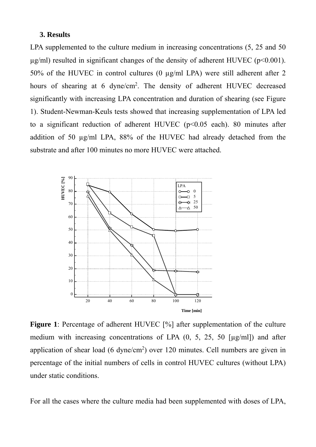#### **3. Results**

LPA supplemented to the culture medium in increasing concentrations  $(5, 25 \text{ and } 50)$  $\mu$ g/ml) resulted in significant changes of the density of adherent HUVEC (p<0.001). 50% of the HUVEC in control cultures (0 µg/ml LPA) were still adherent after 2 hours of shearing at 6 dyne/cm<sup>2</sup>. The density of adherent HUVEC decreased significantly with increasing LPA concentration and duration of shearing (see Figure 1). Student-Newman-Keuls tests showed that increasing supplementation of LPA led to a significant reduction of adherent HUVEC ( $p<0.05$  each). 80 minutes after addition of 50 µg/ml LPA, 88% of the HUVEC had already detached from the substrate and after 100 minutes no more HUVEC were attached.



**Figure 1**: Percentage of adherent HUVEC [%] after supplementation of the culture medium with increasing concentrations of LPA  $(0, 5, 25, 50$  [ $\mu$ g/ml]) and after application of shear load  $(6 \text{ dyne/cm}^2)$  over 120 minutes. Cell numbers are given in percentage of the initial numbers of cells in control HUVEC cultures (without LPA) under static conditions.

For all the cases where the culture media had been supplemented with doses of LPA,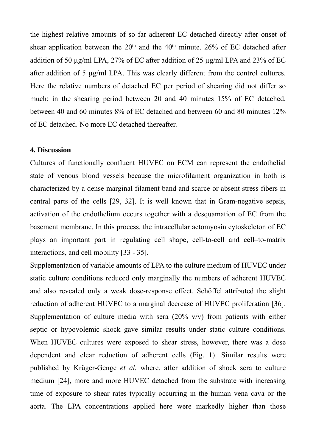the highest relative amounts of so far adherent EC detached directly after onset of shear application between the  $20<sup>th</sup>$  and the  $40<sup>th</sup>$  minute. 26% of EC detached after addition of 50 µg/ml LPA, 27% of EC after addition of 25 µg/ml LPA and 23% of EC after addition of 5 µg/ml LPA. This was clearly different from the control cultures. Here the relative numbers of detached EC per period of shearing did not differ so much: in the shearing period between 20 and 40 minutes 15% of EC detached, between 40 and 60 minutes 8% of EC detached and between 60 and 80 minutes 12% of EC detached. No more EC detached thereafter.

### **4. Discussion**

Cultures of functionally confluent HUVEC on ECM can represent the endothelial state of venous blood vessels because the microfilament organization in both is characterized by a dense marginal filament band and scarce or absent stress fibers in central parts of the cells [29, 32]. It is well known that in Gram-negative sepsis, activation of the endothelium occurs together with a desquamation of EC from the basement membrane. In this process, the intracellular actomyosin cytoskeleton of EC plays an important part in regulating cell shape, cell-to-cell and cell–to-matrix interactions, and cell mobility [33 - 35].

Supplementation of variable amounts of LPA to the culture medium of HUVEC under static culture conditions reduced only marginally the numbers of adherent HUVEC and also revealed only a weak dose-response effect. Schöffel attributed the slight reduction of adherent HUVEC to a marginal decrease of HUVEC proliferation [36]. Supplementation of culture media with sera  $(20\% \text{ v/v})$  from patients with either septic or hypovolemic shock gave similar results under static culture conditions. When HUVEC cultures were exposed to shear stress, however, there was a dose dependent and clear reduction of adherent cells (Fig. 1). Similar results were published by Krüger-Genge *et al.* where, after addition of shock sera to culture medium [24], more and more HUVEC detached from the substrate with increasing time of exposure to shear rates typically occurring in the human vena cava or the aorta. The LPA concentrations applied here were markedly higher than those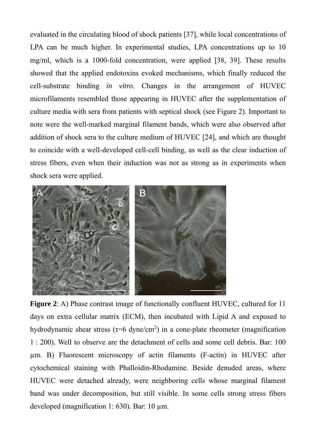evaluated in the circulating blood of shock patients [37], while local concentrations of LPA can be much higher. In experimental studies, LPA concentrations up to 10 mg/ml, which is a 1000-fold concentration, were applied [38, 39]. These results showed that the applied endotoxins evoked mechanisms, which finally reduced the cell-substrate binding *in vitro*. Changes in the arrangement of HUVEC microfilaments resembled those appearing in HUVEC after the supplementation of culture media with sera from patients with septical shock (see Figure 2). Important to note were the well-marked marginal filament bands, which were also observed after addition of shock sera to the culture medium of HUVEC [24], and which are thought to coincide with a well-developed cell-cell binding, as well as the clear induction of stress fibers, even when their induction was not as strong as in experiments when shock sera were applied.



**Figure 2**: A) Phase contrast image of functionally confluent HUVEC, cultured for 11 days on extra cellular matrix (ECM), then incubated with Lipid A and exposed to hydrodynamic shear stress ( $\tau$ =6 dyne/cm<sup>2</sup>) in a cone-plate rheometer (magnification 1 : 200). Well to observe are the detachment of cells and some cell debris. Bar: 100 µm. B) Fluorescent microscopy of actin filaments (F-actin) in HUVEC after cytochemical staining with Phalloidin-Rhodamine. Beside denuded areas, where HUVEC were detached already, were neighboring cells whose marginal filament band was under decomposition, but still visible. In some cells strong stress fibers developed (magnification 1: 630). Bar: 10 µm.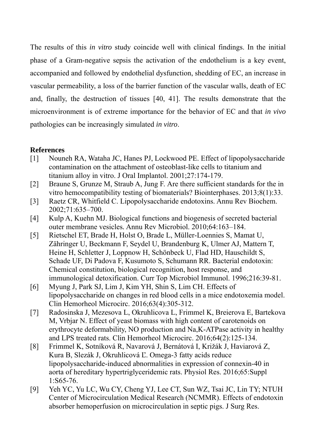The results of this *in vitro* study coincide well with clinical findings. In the initial phase of a Gram-negative sepsis the activation of the endothelium is a key event, accompanied and followed by endothelial dysfunction, shedding of EC, an increase in vascular permeability, a loss of the barrier function of the vascular walls, death of EC and, finally, the destruction of tissues [40, 41]. The results demonstrate that the microenvironment is of extreme importance for the behavior of EC and that *in vivo*  pathologies can be increasingly simulated *in vitro*.

## **References**

- [1] Nouneh RA, Wataha JC, Hanes PJ, Lockwood PE. Effect of lipopolysaccharide contamination on the attachment of osteoblast-like cells to titanium and titanium alloy in vitro. J Oral Implantol. 2001;27:174-179.
- [2] Braune S, Grunze M, Straub A, Jung F. Are there sufficient standards for the in vitro hemocompatibility testing of biomaterials? Biointerphases. 2013;8(1):33.
- [3] Raetz CR, Whitfield C. Lipopolysaccharide endotoxins. Annu Rev Biochem. 2002;71:635–700.
- [4] Kulp A, Kuehn MJ. Biological functions and biogenesis of secreted bacterial outer membrane vesicles*.* Annu Rev Microbiol. 2010;64:163–184.
- [5] Rietschel ET, Brade H, Holst O, Brade L, Müller-Loennies S, Mamat U, Zähringer U, Beckmann F, Seydel U, Brandenburg K, Ulmer AJ, Mattern T, Heine H, Schletter J, Loppnow H, Schönbeck U, Flad HD, Hauschildt S, Schade UF, Di Padova F, Kusumoto S, Schumann RR. Bacterial endotoxin: Chemical constitution, biological recognition, host response, and immunological detoxification. Curr Top Microbiol Immunol. 1996;216:39-81.
- [6] Myung J, Park SJ, Lim J, Kim YH, Shin S, Lim CH. Effects of lipopolysaccharide on changes in red blood cells in a mice endotoxemia model. Clin Hemorheol Microcirc. 2016;63(4):305-312.
- [7] Radosinska J, Mezesova L, Okruhlicova L, Frimmel K, Breierova E, Bartekova M, Vrbjar N. Effect of yeast biomass with high content of carotenoids on erythrocyte deformability, NO production and Na,K-ATPase activity in healthy and LPS treated rats. Clin Hemorheol Microcirc. 2016;64(2):125-134.
- [8] Frimmel K, Sotníková R, Navarová J, Bernátová I, Križák J, Haviarová Z, Kura B, Slezák J, Okruhlicová Ľ. Omega-3 fatty acids reduce lipopolysaccharide-induced abnormalities in expression of connexin-40 in aorta of hereditary hypertriglyceridemic rats. Physiol Res. 2016;65:Suppl 1:S65-76.
- [9] Yeh YC, Yu LC, Wu CY, Cheng YJ, Lee CT, Sun WZ, Tsai JC, Lin TY; NTUH Center of Microcirculation Medical Research (NCMMR). Effects of endotoxin absorber hemoperfusion on microcirculation in septic pigs. J Surg Res.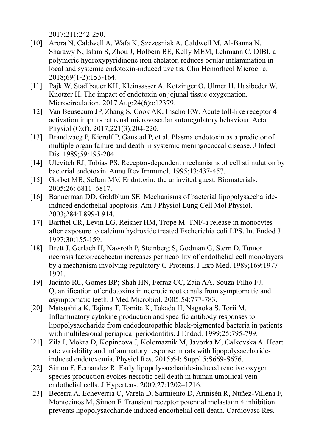2017;211:242-250.

- [10] Arora N, Caldwell A, Wafa K, Szczesniak A, Caldwell M, Al-Banna N, Sharawy N, Islam S, Zhou J, Holbein BE, Kelly MEM, Lehmann C. DIBI, a polymeric hydroxypyridinone iron chelator, reduces ocular inflammation in local and systemic endotoxin-induced uveitis. Clin Hemorheol Microcirc. 2018;69(1-2):153-164.
- [11] Pajk W, Stadlbauer KH, Kleinsasser A, Kotzinger O, Ulmer H, Hasibeder W, Knotzer H. The impact of endotoxin on jejunal tissue oxygenation. Microcirculation. 2017 Aug; 24(6): e12379.
- [12] Van Beusecum JP, Zhang S, Cook AK, Inscho EW. Acute toll-like receptor 4 activation impairs rat renal microvascular autoregulatory behaviour. Acta Physiol (Oxf). 2017;221(3):204-220.
- [13] Brandtzaeg P, Kierulf P, Gaustad P, et al. Plasma endotoxin as a predictor of multiple organ failure and death in systemic meningococcal disease. J Infect Dis. 1989;59:195-204.
- [14] Ulevitch RJ, Tobias PS. Receptor-dependent mechanisms of cell stimulation by bacterial endotoxin. Annu Rev Immunol. 1995;13:437-457.
- [15] Gorbet MB, Sefton MV. Endotoxin: the uninvited guest. Biomaterials. 2005;26: 6811–6817.
- [16] Bannerman DD, Goldblum SE. Mechanisms of bacterial lipopolysaccharideinduced endothelial apoptosis. Am J Physiol Lung Cell Mol Physiol. 2003;284:L899-L914.
- [17] Barthel CR, Levin LG, Reisner HM, Trope M. TNF-a release in monocytes after exposure to calcium hydroxide treated Escherichia coli LPS. Int Endod J. 1997;30:155-159.
- [18] Brett J, Gerlach H, Nawroth P, Steinberg S, Godman G, Stern D. Tumor necrosis factor/cachectin increases permeability of endothelial cell monolayers by a mechanism involving regulatory G Proteins. J Exp Med. 1989;169:1977- 1991.
- [19] Jacinto RC, Gomes BP; Shah HN, Ferraz CC, Zaia AA, Souza-Filho FJ. Quantification of endotoxins in necrotic root canals from symptomatic and asymptomatic teeth. J Med Microbiol. 2005;54:777-783.
- [20] Matsushita K, Tajima T, Tomita K, Takada H, Nagaoka S, Torii M. Inflammatory cytokine production and specific antibody responses to lipopolysaccharide from endodontopathic black-pigmented bacteria in patients with multilesional periapical periodontitis. J Endod. 1999;25:795-799.
- [21] Zila I, Mokra D, Kopincova J, Kolomaznik M, Javorka M, Calkovska A. Heart rate variability and inflammatory response in rats with lipopolysaccharideinduced endotoxemia. Physiol Res. 2015;64: Suppl 5:S669-S676.
- [22] Simon F, Fernandez R. Early lipopolysaccharide-induced reactive oxygen species production evokes necrotic cell death in human umbilical vein endothelial cells. J Hypertens. 2009;27:1202–1216.
- [23] Becerra A, Echeverría C, Varela D, Sarmiento D, Armisén R, Nuñez-Villena F, Montecinos M, Simon F. Transient receptor potential melastatin 4 inhibition prevents lipopolysaccharide induced endothelial cell death. Cardiovasc Res.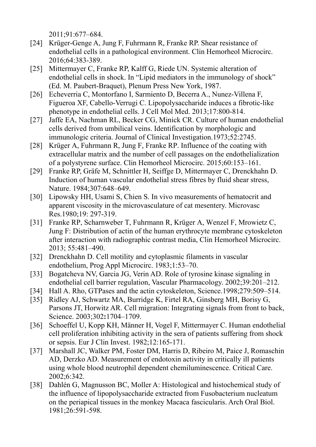2011;91:677–684.

- [24] Krüger-Genge A, Jung F, Fuhrmann R, Franke RP. Shear resistance of endothelial cells in a pathological environment. Clin Hemorheol Microcirc. 2016;64:383-389.
- [25] Mittermayer C, Franke RP, Kalff G, Riede UN. Systemic alteration of endothelial cells in shock. In "Lipid mediators in the immunology of shock" (Ed. M. Paubert-Braquet), Plenum Press New York, 1987.
- [26] Echeverria C, Montorfano I, Sarmiento D, Becerra A., Nunez-Villena F, Figueroa XF, Cabello-Verrugi C. Lipopolysaccharide induces a fibrotic-like phenotype in endothelial cells. J Cell Mol Med. 2013;17:800-814.
- [27] Jaffe EA, Nachman RL, Becker CG, Minick CR. Culture of human endothelial cells derived from umbilical veins. Identification by morphologic and immunologic criteria. Journal of Clinical Investigation.1973;52:2745.
- [28] Krüger A, Fuhrmann R, Jung F*,* Franke RP. Influence of the coating with extracellular matrix and the number of cell passages on the endothelialization of a polystyrene surface. Clin Hemorheol Microcirc. 2015;60:153–161.
- [29] Franke RP, Gräfe M, Schnittler H, Seiffge D, Mittermayer C, Drenckhahn D. Induction of human vascular endothelial stress fibres by fluid shear stress, Nature. 1984;307:648–649.
- [30] Lipowsky HH, Usami S, Chien S. In vivo measurements of hematocrit and apparent viscosity in the microvasculature of cat mesentery. Microvasc Res.1980;19: 297-319.
- [31] Franke RP, Scharnweber T, Fuhrmann R, Krüger A, Wenzel F, Mrowietz C, Jung F: Distribution of actin of the human erythrocyte membrane cytoskeleton after interaction with radiographic contrast media, Clin Hemorheol Microcirc. 2013; 55:481–490.
- [32] Drenckhahn D. Cell motility and cytoplasmic filaments in vascular endothelium, Prog Appl Microcirc. 1983;1:53–70.
- [33] Bogatcheva NV, Garcia JG, Verin AD. Role of tyrosine kinase signaling in endothelial cell barrier regulation, Vascular Pharmacology. 2002;39:201–212.
- [34] Hall A. Rho, GTPases and the actin cytoskeleton, Science.1998;279:509–514.
- [35] Ridley AJ, Schwartz MA, Burridge K, Firtel RA, Ginsberg MH, Borisy G, Parsons JT, Horwitz AR. Cell migration: Integrating signals from front to back, Science. 2003;302**:**1704–1709.
- [36] Schoeffel U, Kopp KH, Männer H, Vogel F, Mittermayer C. Human endothelial cell proliferation inhibiting activity in the sera of patients suffering from shock or sepsis. Eur J Clin Invest. 1982;12:165-171.
- [37] Marshall JC, Walker PM, Foster DM, Harris D, Ribeiro M, Paice J, Romaschin AD, Derzko AD. Measurement of endotoxin activity in critically ill patients using whole blood neutrophil dependent chemiluminescence. Critical Care. 2002;6:342.
- [38] Dahlén G, Magnusson BC, Moller A: Histological and histochemical study of the influence of lipopolysaccharide extracted from Fusobacterium nucleatum on the periapical tissues in the monkey Macaca fascicularis. Arch Oral Biol. 1981;26:591-598.